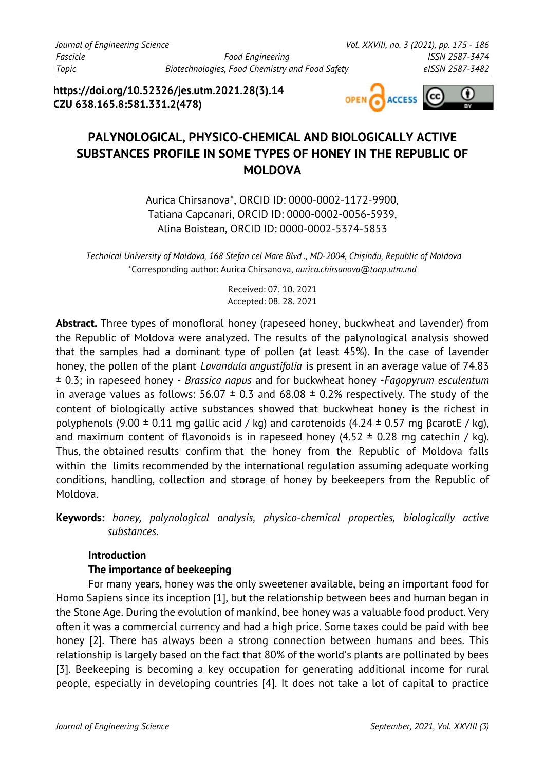**https://doi.org/10.52326/jes.utm.2021.28(3).14 CZU 638.165.8:581.331.2(478)**



# **PALYNOLOGICAL, PHYSICO-CHEMICAL AND BIOLOGICALLY ACTIVE SUBSTANCES PROFILE IN SOME TYPES OF HONEY IN THE REPUBLIC OF MOLDOVA**

Aurica Chirsanova\*, ORCID ID: 0000-0002-1172-9900, Tatiana Capcanari, ORCID ID: 0000-0002-0056-5939, Alina Boistean, ORCID ID: 0000-0002-5374-5853

 *Technical University of Moldova, 168 Stefan cel Mare Blvd ., MD-2004, Chișinău, Republic of Moldova* \*Corresponding author: Aurica Chirsanova, *aurica.chirsanova@toap.utm.md*

> Received: 07. 10[. 2021](mailto:aurica.chirsanova@toap.utm.md)  Accepted: 08. 28. 2021

**Abstract.** Three types of monofloral honey (rapeseed honey, buckwheat and lavender) from the Republic of Moldova were analyzed. The results of the palynological analysis showed that the samples had a dominant type of pollen (at least 45%). In the case of lavender honey, the pollen of the plant *Lavandula angustifolia* is present in an average value of 74.83 ± 0.3; in rapeseed honey - *Brassica napus* and for buckwheat honey -*Fagopyrum esculentum* in average values as follows:  $56.07 \pm 0.3$  and  $68.08 \pm 0.2\%$  respectively. The study of the content of biologically active substances showed that buckwheat honey is the richest in polyphenols (9.00  $\pm$  0.11 mg gallic acid / kg) and carotenoids (4.24  $\pm$  0.57 mg βcarotE / kg), and maximum content of flavonoids is in rapeseed honey  $(4.52 \pm 0.28$  mg catechin / kg). Thus, the obtained results confirm that the honey from the Republic of Moldova falls within the limits recommended by the international regulation assuming adequate working conditions, handling, collection and storage of honey by beekeepers from the Republic of Moldova.

**Keywords:** *honey, palynological analysis, physico-chemical properties, biologically active substances.* 

# **Introduction**

# **The importance of beekeeping**

For many years, honey was the only sweetener available, being an important food for Homo Sapiens since its inception [1], but the relationship between bees and human began in the Stone Age. During the evolution of mankind, bee honey was a valuable food product. Very often it was a commercial currency and had a high price. Some taxes could be paid with bee honey [2]. There has always been a strong connection between humans and bees. This relationship is largely based on the fact that 80% of the world's plants are pollinated by bees [3]. Beekeeping is becoming a key occupation for generating additional income for rural people, especially in developing countries [4]. It does not take a lot of capital to practice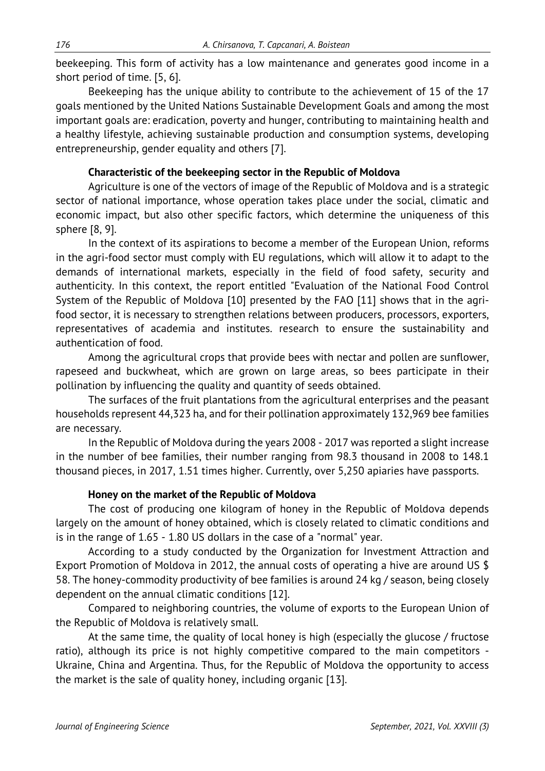beekeeping. This form of activity has a low maintenance and generates good income in a short period of time. [5, 6].

Beekeeping has the unique ability to contribute to the achievement of 15 of the 17 goals mentioned by the United Nations Sustainable Development Goals and among the most important goals are: eradication, poverty and hunger, contributing to maintaining health and a healthy lifestyle, achieving sustainable production and consumption systems, developing entrepreneurship, gender equality and others [7].

#### **Characteristic of the beekeeping sector in the Republic of Moldova**

Agriculture is one of the vectors of image of the Republic of Moldova and is a strategic sector of national importance, whose operation takes place under the social, climatic and economic impact, but also other specific factors, which determine the uniqueness of this sphere [8, 9].

In the context of its aspirations to become a member of the European Union, reforms in the agri-food sector must comply with EU regulations, which will allow it to adapt to the demands of international markets, especially in the field of food safety, security and authenticity. In this context, the report entitled "Evaluation of the National Food Control System of the Republic of Moldova [10] presented by the FAO [11] shows that in the agrifood sector, it is necessary to strengthen relations between producers, processors, exporters, representatives of academia and institutes. research to ensure the sustainability and authentication of food.

Among the agricultural crops that provide bees with nectar and pollen are sunflower, rapeseed and buckwheat, which are grown on large areas, so bees participate in their pollination by influencing the quality and quantity of seeds obtained.

The surfaces of the fruit plantations from the agricultural enterprises and the peasant households represent 44,323 ha, and for their pollination approximately 132,969 bee families are necessary.

In the Republic of Moldova during the years 2008 - 2017 was reported a slight increase in the number of bee families, their number ranging from 98.3 thousand in 2008 to 148.1 thousand pieces, in 2017, 1.51 times higher. Currently, over 5,250 apiaries have passports.

#### **Honey on the market of the Republic of Moldova**

The cost of producing one kilogram of honey in the Republic of Moldova depends largely on the amount of honey obtained, which is closely related to climatic conditions and is in the range of 1.65 - 1.80 US dollars in the case of a "normal" year.

According to a study conducted by the Organization for Investment Attraction and Export Promotion of Moldova in 2012, the annual costs of operating a hive are around US \$ 58. The honey-commodity productivity of bee families is around 24 kg / season, being closely dependent on the annual climatic conditions [12].

Compared to neighboring countries, the volume of exports to the European Union of the Republic of Moldova is relatively small.

At the same time, the quality of local honey is high (especially the glucose / fructose ratio), although its price is not highly competitive compared to the main competitors - Ukraine, China and Argentina. Thus, for the Republic of Moldova the opportunity to access the market is the sale of quality honey, including organic [13].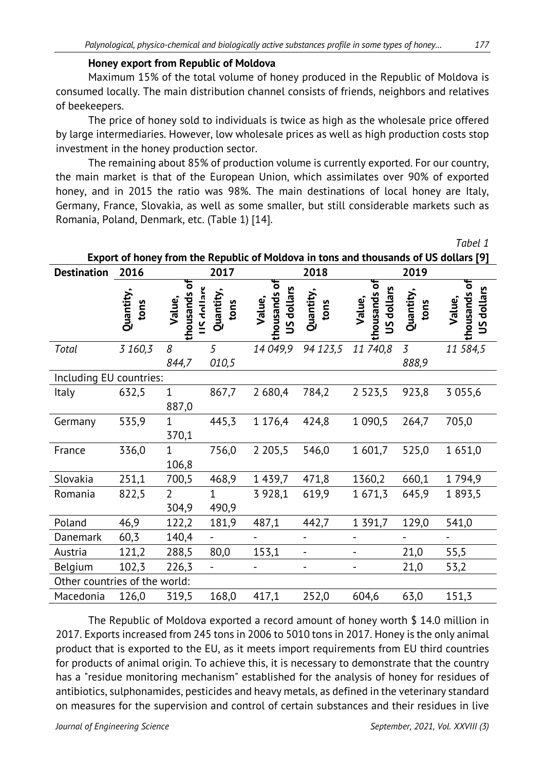#### **Honey export from Republic of Moldova**

Maximum 15% of the total volume of honey produced in the Republic of Moldova is consumed locally. The main distribution channel consists of friends, neighbors and relatives of beekeepers.

The price of honey sold to individuals is twice as high as the wholesale price offered by large intermediaries. However, low wholesale prices as well as high production costs stop investment in the honey production sector.

The remaining about 85% of production volume is currently exported. For our country, the main market is that of the European Union, which assimilates over 90% of exported honey, and in 2015 the ratio was 98%. The main destinations of local honey are Italy, Germany, France, Slovakia, as well as some smaller, but still considerable markets such as Romania, Poland, Denmark, etc. (Table 1) [14].

|                                                                                      |                   |                                        |                       |                                        |                              |                                      |                   | Tabel 1                              |
|--------------------------------------------------------------------------------------|-------------------|----------------------------------------|-----------------------|----------------------------------------|------------------------------|--------------------------------------|-------------------|--------------------------------------|
| Export of honey from the Republic of Moldova in tons and thousands of US dollars [9] |                   |                                        |                       |                                        |                              |                                      |                   |                                      |
| <b>Destination</b>                                                                   | 2016              |                                        | 2017                  |                                        | 2018                         |                                      | 2019              |                                      |
|                                                                                      | Quantity,<br>tons | Ѣ<br>IS Hollars<br>thousands<br>Value, | Quantity,<br>tons     | ㅎ<br>US dollars<br>thousands<br>Value, | Quantity,<br>tons            | thousands of<br>US dollars<br>Value, | Quantity,<br>tons | thousands of<br>US dollars<br>Value, |
| Total                                                                                | 3 160,3           | 8                                      | 5                     | 14 049,9                               | 94 123,5                     | 11 740,8                             | $\overline{3}$    | 11 584,5                             |
|                                                                                      |                   | 844,7                                  | 010,5                 |                                        |                              |                                      | 888,9             |                                      |
| Including EU countries:                                                              |                   |                                        |                       |                                        |                              |                                      |                   |                                      |
| Italy                                                                                | 632,5             | $\mathbf 1$<br>887,0                   | 867,7                 | 2 680,4                                | 784,2                        | 2 5 2 3 , 5                          | 923,8             | 3 0 5 5 , 6                          |
| Germany                                                                              | 535,9             | $\mathbf 1$<br>370,1                   | 445,3                 | 1 1 7 6 , 4                            | 424,8                        | 1 0 9 0, 5                           | 264,7             | 705,0                                |
| France                                                                               | 336,0             | $\mathbf{1}$<br>106,8                  | 756,0                 | 2 2 0 5 , 5                            | 546,0                        | 1 601,7                              | 525,0             | 1651,0                               |
| Slovakia                                                                             | 251,1             | 700,5                                  | 468,9                 | 1 439,7                                | 471,8                        | 1360,2                               | 660,1             | 1794,9                               |
| Romania                                                                              | 822,5             | $\overline{2}$<br>304,9                | $\mathbf{1}$<br>490,9 | 3 9 28, 1                              | 619,9                        | 1671,3                               | 645,9             | 1893,5                               |
| Poland                                                                               | 46,9              | 122,2                                  | 181,9                 | 487,1                                  | 442,7                        | 1 3 9 1 , 7                          | 129,0             | 541,0                                |
| Danemark                                                                             | 60,3              | 140,4                                  |                       |                                        |                              |                                      |                   |                                      |
| Austria                                                                              | 121,2             | 288,5                                  | 80,0                  | 153,1                                  |                              |                                      | 21,0              | 55,5                                 |
| Belgium                                                                              | 102,3             | 226,3                                  |                       |                                        | $\qquad \qquad \blacksquare$ |                                      | 21,0              | 53,2                                 |
| Other countries of the world:                                                        |                   |                                        |                       |                                        |                              |                                      |                   |                                      |
| Macedonia                                                                            | 126,0             | 319,5                                  | 168,0                 | 417,1                                  | 252,0                        | 604,6                                | 63,0              | 151,3                                |

The Republic of Moldova exported a record amount of honey worth \$ 14.0 million in 2017. Exports increased from 245 tons in 2006 to 5010 tons in 2017. Honey is the only animal product that is exported to the EU, as it meets import requirements from EU third countries for products of animal origin. To achieve this, it is necessary to demonstrate that the country has a "residue monitoring mechanism" established for the analysis of honey for residues of antibiotics, sulphonamides, pesticides and heavy metals, as defined in the veterinary standard on measures for the supervision and control of certain substances and their residues in live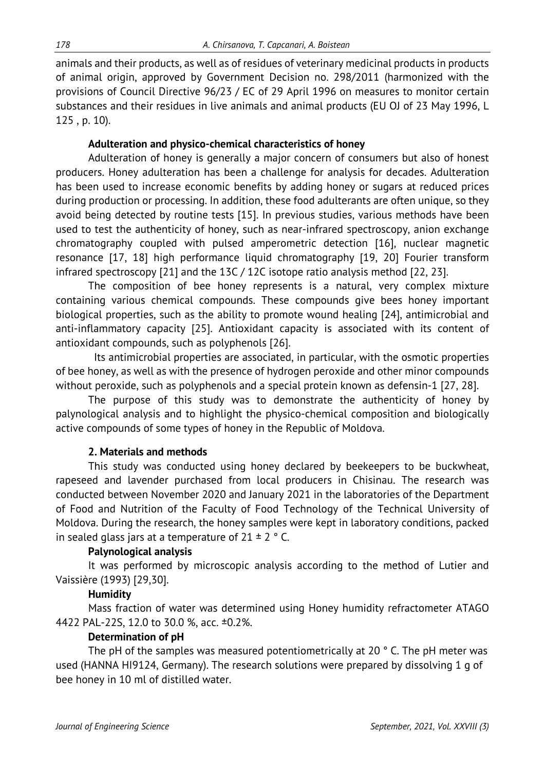animals and their products, as well as of residues of veterinary medicinal products in products of animal origin, approved by Government Decision no. 298/2011 (harmonized with the provisions of Council Directive 96/23 / EC of 29 April 1996 on measures to monitor certain substances and their residues in live animals and animal products (EU OJ of 23 May 1996, L 125 , p. 10).

#### **Adulteration and physico-chemical characteristics of honey**

Adulteration of honey is generally a major concern of consumers but also of honest producers. Honey adulteration has been a challenge for analysis for decades. Adulteration has been used to increase economic benefits by adding honey or sugars at reduced prices during production or processing. In addition, these food adulterants are often unique, so they avoid being detected by routine tests [15]. In previous studies, various methods have been used to test the authenticity of honey, such as near-infrared spectroscopy, anion exchange chromatography coupled with pulsed amperometric detection [16], nuclear magnetic resonance [17, 18] high performance liquid chromatography [19, 20] Fourier transform infrared spectroscopy [21] and the 13C / 12C isotope ratio analysis method [22, 23].

The composition of bee honey represents is a natural, very complex mixture containing various chemical compounds. These compounds give bees honey important biological properties, such as the ability to promote wound healing [24], antimicrobial and anti-inflammatory capacity [25]. Antioxidant capacity is associated with its content of antioxidant compounds, such as polyphenols [26].

 Its antimicrobial properties are associated, in particular, with the osmotic properties of bee honey, as well as with the presence of hydrogen peroxide and other minor compounds without peroxide, such as polyphenols and a special protein known as defensin-1 [27, 28].

The purpose of this study was to demonstrate the authenticity of honey by palynological analysis and to highlight the physico-chemical composition and biologically active compounds of some types of honey in the Republic of Moldova.

#### **2. Materials and methods**

This study was conducted using honey declared by beekeepers to be buckwheat, rapeseed and lavender purchased from local producers in Chisinau. The research was conducted between November 2020 and January 2021 in the laboratories of the Department of Food and Nutrition of the Faculty of Food Technology of the Technical University of Moldova. During the research, the honey samples were kept in laboratory conditions, packed in sealed glass jars at a temperature of  $21 \pm 2$  ° C.

#### **Palynological analysis**

It was performed by microscopic analysis according to the method of Lutier and Vaissière (1993) [29,30].

#### **Humidity**

Mass fraction of water was determined using Honey humidity refractometer ATAGO 4422 PAL-22S, 12.0 to 30.0 %, acc. ±0.2%.

#### **Determination of pH**

The pH of the samples was measured potentiometrically at 20 ° C. The pH meter was used (HANNA HI9124, Germany). The research solutions were prepared by dissolving 1 g of bee honey in 10 ml of distilled water.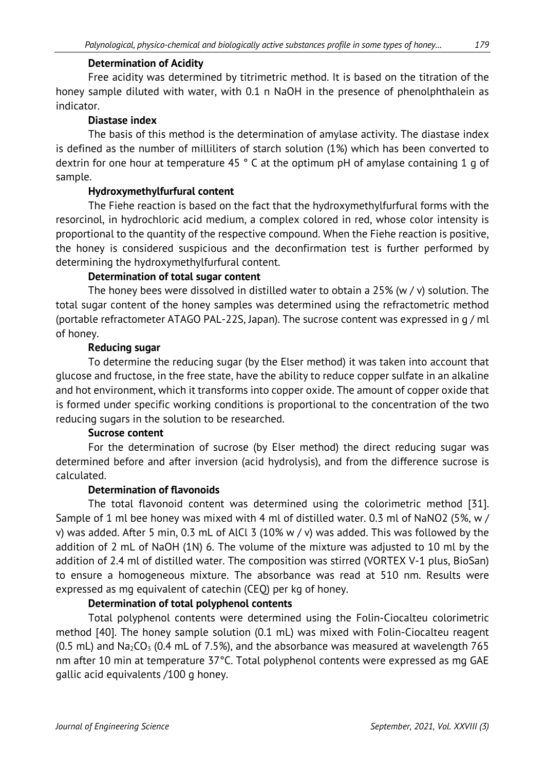# **Determination of Acidity**

Free acidity was determined by titrimetric method. It is based on the titration of the honey sample diluted with water, with 0.1 n NaOH in the presence of phenolphthalein as indicator.

## **Diastase index**

The basis of this method is the determination of amylase activity. The diastase index is defined as the number of milliliters of starch solution (1%) which has been converted to dextrin for one hour at temperature 45 ° C at the optimum pH of amylase containing 1 g of sample.

# **Hydroxymethylfurfural content**

The Fiehe reaction is based on the fact that the hydroxymethylfurfural forms with the resorcinol, in hydrochloric acid medium, a complex colored in red, whose color intensity is proportional to the quantity of the respective compound. When the Fiehe reaction is positive, the honey is considered suspicious and the deconfirmation test is further performed by determining the hydroxymethylfurfural content.

## **Determination of total sugar content**

The honey bees were dissolved in distilled water to obtain a 25% (w / v) solution. The total sugar content of the honey samples was determined using the refractometric method (portable refractometer ATAGO PAL-22S, Japan). The sucrose content was expressed in g / ml of honey.

## **Reducing sugar**

To determine the reducing sugar (by the Elser method) it was taken into account that glucose and fructose, in the free state, have the ability to reduce copper sulfate in an alkaline and hot environment, which it transforms into copper oxide. The amount of copper oxide that is formed under specific working conditions is proportional to the concentration of the two reducing sugars in the solution to be researched.

#### **Sucrose content**

For the determination of sucrose (by Elser method) the direct reducing sugar was determined before and after inversion (acid hydrolysis), and from the difference sucrose is calculated.

# **Determination of flavonoids**

The total flavonoid content was determined using the colorimetric method [31]. Sample of 1 ml bee honey was mixed with 4 ml of distilled water. 0.3 ml of NaNO2 (5%, w / v) was added. After 5 min, 0.3 mL of AlCl 3 (10% w / v) was added. This was followed by the addition of 2 mL of NaOH (1N) 6. The volume of the mixture was adjusted to 10 ml by the addition of 2.4 ml of distilled water. The composition was stirred (VORTEX V-1 plus, BioSan) to ensure a homogeneous mixture. The absorbance was read at 510 nm. Results were expressed as mg equivalent of catechin (CEQ) per kg of honey.

# **Determination of total polyphenol contents**

Total polyphenol contents were determined using the Folin-Ciocalteu colorimetric method [40]. The honey sample solution (0.1 mL) was mixed with Folin-Ciocalteu reagent (0.5 mL) and  $Na<sub>2</sub>CO<sub>3</sub>$  (0.4 mL of 7.5%), and the absorbance was measured at wavelength 765 nm after 10 min at temperature 37°C. Total polyphenol contents were expressed as mg GAE gallic acid equivalents /100 g honey.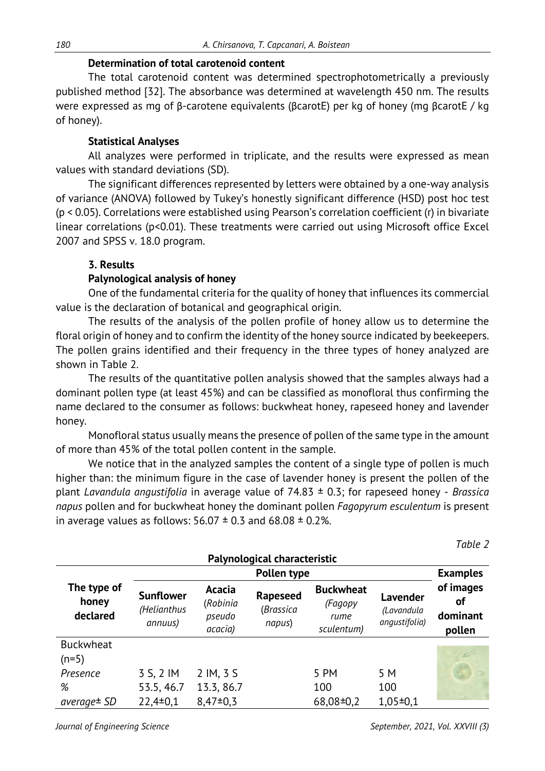#### **Determination of total carotenoid content**

The total carotenoid content was determined spectrophotometrically a previously published method [32]. The absorbance was determined at wavelength 450 nm. The results were expressed as mg of β-carotene equivalents (βcarotE) per kg of honey (mg βcarotE / kg of honey).

# **Statistical Analyses**

All analyzes were performed in triplicate, and the results were expressed as mean values with standard deviations (SD).

The significant differences represented by letters were obtained by a one-way analysis of variance (ANOVA) followed by Tukey's honestly significant difference (HSD) post hoc test (p < 0.05). Correlations were established using Pearson's correlation coefficient (r) in bivariate linear correlations (p<0.01). These treatments were carried out using Microsoft office Excel 2007 and SPSS v. 18.0 program.

# **3. Results**

## **Palynological analysis of honey**

One of the fundamental criteria for the quality of honey that influences its commercial value is the declaration of botanical and geographical origin.

The results of the analysis of the pollen profile of honey allow us to determine the floral origin of honey and to confirm the identity of the honey source indicated by beekeepers. The pollen grains identified and their frequency in the three types of honey analyzed are shown in Table 2.

The results of the quantitative pollen analysis showed that the samples always had a dominant pollen type (at least 45%) and can be classified as monofloral thus confirming the name declared to the consumer as follows: buckwheat honey, rapeseed honey and lavender honey.

Monofloral status usually means the presence of pollen of the same type in the amount of more than 45% of the total pollen content in the sample.

We notice that in the analyzed samples the content of a single type of pollen is much higher than: the minimum figure in the case of lavender honey is present the pollen of the plant *Lavandula angustifolia* in average value of 74.83 ± 0.3; for rapeseed honey - *Brassica napus* pollen and for buckwheat honey the dominant pollen *Fagopyrum esculentum* is present in average values as follows:  $56.07 \pm 0.3$  and  $68.08 \pm 0.2$ %.

| Palynological characteristic     |                                            |                                         |                                 |                                                   |                                         |                                              |
|----------------------------------|--------------------------------------------|-----------------------------------------|---------------------------------|---------------------------------------------------|-----------------------------------------|----------------------------------------------|
|                                  |                                            |                                         | Pollen type                     |                                                   |                                         | <b>Examples</b>                              |
| The type of<br>honey<br>declared | <b>Sunflower</b><br>(Helianthus<br>annuus) | Acacia<br>(Robinia<br>pseudo<br>acacia) | Rapeseed<br>(Brassica<br>napus) | <b>Buckwheat</b><br>(Fagopy<br>rume<br>sculentum) | Lavender<br>(Lavandula<br>angustifolia) | of images<br><b>of</b><br>dominant<br>pollen |
| <b>Buckwheat</b><br>$(n=5)$      |                                            |                                         |                                 |                                                   |                                         | 6                                            |
| Presence                         | 3 S, 2 IM                                  | 2 IM, 3 S                               |                                 | 5 PM                                              | 5 M                                     |                                              |
| %                                | 53.5, 46.7                                 | 13.3, 86.7                              |                                 | 100                                               | 100                                     |                                              |
| $average \pm SD$                 | $22,4\pm0,1$                               | $8,47\pm0.3$                            |                                 | $68,08\pm0,2$                                     | $1,05\pm0,1$                            |                                              |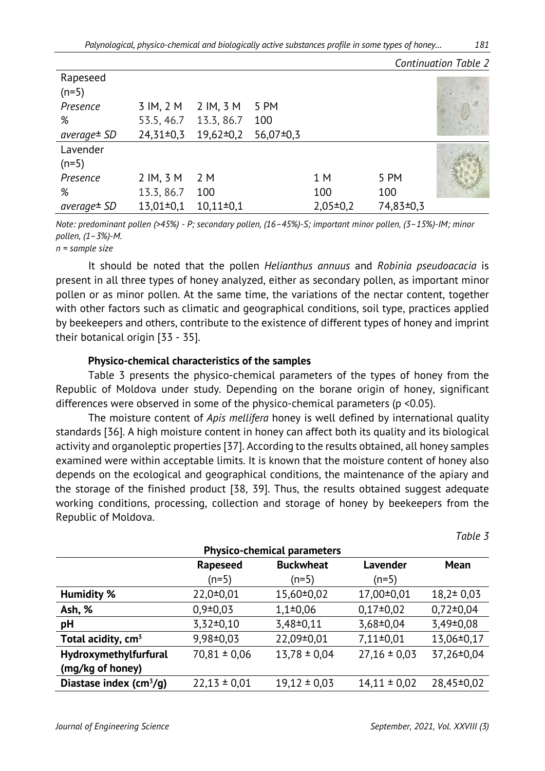|                     |               |                 |               |              |           | <b>Continuation Table 2</b> |
|---------------------|---------------|-----------------|---------------|--------------|-----------|-----------------------------|
| Rapeseed<br>$(n=5)$ |               |                 |               |              |           |                             |
| Presence            | 3 IM, 2 M     | 2 IM, 3 M       | 5 PM          |              |           |                             |
| %                   | 53.5, 46.7    | 13.3, 86.7      | 100           |              |           |                             |
| average $\pm$ SD    | $24,31\pm0,3$ | $19,62 \pm 0,2$ | $56,07\pm0.3$ |              |           |                             |
| Lavender            |               |                 |               |              |           |                             |
| $(n=5)$             |               |                 |               |              |           |                             |
| Presence            | 2 IM, 3 M     | 2 M             |               | 1 M          | 5 PM      |                             |
| %                   | 13.3, 86.7    | 100             |               | 100          | 100       |                             |
| average $\pm$ SD    | $13,01\pm0,1$ | $10,11\pm0,1$   |               | $2,05\pm0,2$ | 74,83±0,3 |                             |

*Note: predominant pollen (>45%) - P; secondary pollen, (16–45%)-S; important minor pollen, (3–15%)-IM; minor pollen, (1–3%)-M.* 

*n = sample size*

It should be noted that the pollen *Helianthus annuus* and *Robinia pseudoacacia* is present in all three types of honey analyzed, either as secondary pollen, as important minor pollen or as minor pollen. At the same time, the variations of the nectar content, together with other factors such as climatic and geographical conditions, soil type, practices applied by beekeepers and others, contribute to the existence of different types of honey and imprint their botanical origin [33 - 35].

## **Physico-chemical characteristics of the samples**

Table 3 presents the physico-chemical parameters of the types of honey from the Republic of Moldova under study. Depending on the borane origin of honey, significant differences were observed in some of the physico-chemical parameters (p <0.05).

The moisture content of *Apis mellifera* honey is well defined by international quality standards [36]. A high moisture content in honey can affect both its quality and its biological activity and organoleptic properties [37]. According to the results obtained, all honey samples examined were within acceptable limits. It is known that the moisture content of honey also depends on the ecological and geographical conditions, the maintenance of the apiary and the storage of the finished product [38, 39]. Thus, the results obtained suggest adequate working conditions, processing, collection and storage of honey by beekeepers from the Republic of Moldova.

| <b>Physico-chemical parameters</b> |                  |                  |                  |                 |  |
|------------------------------------|------------------|------------------|------------------|-----------------|--|
|                                    | Rapeseed         | <b>Buckwheat</b> | Lavender         | Mean            |  |
|                                    | $(n=5)$          | $(n=5)$          | $(n=5)$          |                 |  |
| <b>Humidity %</b>                  | $22,0+0,01$      | $15,60\pm0,02$   | 17,00±0,01       | $18,2 \pm 0,03$ |  |
| Ash, %                             | $0,9\pm0,03$     | $1,1\pm0,06$     | $0,17\pm0,02$    | $0,72 \pm 0,04$ |  |
| pH                                 | $3,32\pm0,10$    | $3,48\pm0,11$    | $3,68 \pm 0,04$  | $3,49\pm0,08$   |  |
| Total acidity, cm <sup>3</sup>     | $9,98 \pm 0,03$  | 22,09±0,01       | $7,11\pm0,01$    | 13,06±0,17      |  |
| Hydroxymethylfurfural              | $70,81 \pm 0,06$ | $13.78 \pm 0.04$ | $27,16 \pm 0.03$ | 37,26±0,04      |  |
| (mg/kg of honey)                   |                  |                  |                  |                 |  |
| Diastase index $(cm3/g)$           | $22,13 \pm 0,01$ | $19,12 \pm 0,03$ | $14,11 \pm 0,02$ | 28,45±0,02      |  |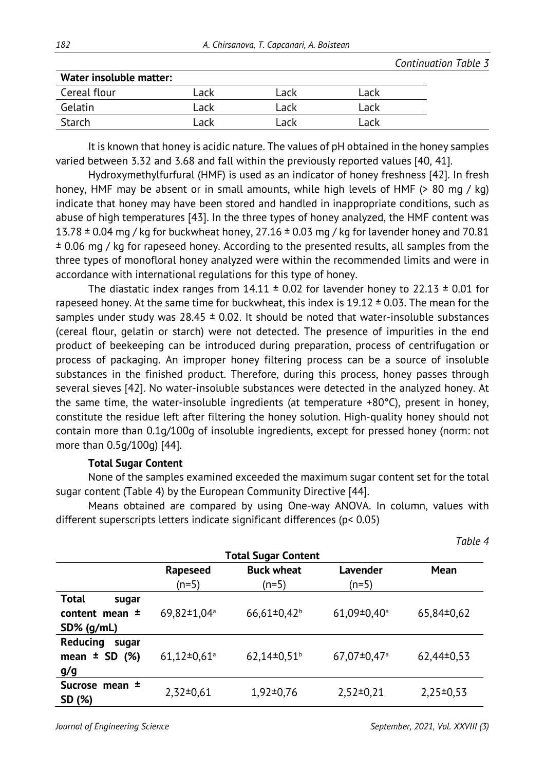|  | Continuation Table 3 |  |  |  |
|--|----------------------|--|--|--|
|--|----------------------|--|--|--|

| Water insoluble matter: |       |      |       |  |  |  |
|-------------------------|-------|------|-------|--|--|--|
| Cereal flour            | Lack  | Lack | Lack  |  |  |  |
| Gelatin                 | l ack | Lack | Lack  |  |  |  |
| Starch                  | l ack | ack  | l ack |  |  |  |

It is known that honey is acidic nature. The values of pH obtained in the honey samples varied between 3.32 and 3.68 and fall within the previously reported values [40, 41].

Hydroxymethylfurfural (HMF) is used as an indicator of honey freshness [42]. In fresh honey, HMF may be absent or in small amounts, while high levels of HMF (> 80 mg / kg) indicate that honey may have been stored and handled in inappropriate conditions, such as abuse of high temperatures [43]. In the three types of honey analyzed, the HMF content was 13.78  $\pm$  0.04 mg / kg for buckwheat honey, 27.16  $\pm$  0.03 mg / kg for lavender honey and 70.81 ± 0.06 mg / kg for rapeseed honey. According to the presented results, all samples from the three types of monofloral honey analyzed were within the recommended limits and were in accordance with international regulations for this type of honey.

The diastatic index ranges from  $14.11 \pm 0.02$  for lavender honey to 22.13  $\pm$  0.01 for rapeseed honey. At the same time for buckwheat, this index is  $19.12 \pm 0.03$ . The mean for the samples under study was  $28.45 \pm 0.02$ . It should be noted that water-insoluble substances (cereal flour, gelatin or starch) were not detected. The presence of impurities in the end product of beekeeping can be introduced during preparation, process of centrifugation or process of packaging. An improper honey filtering process can be a source of insoluble substances in the finished product. Therefore, during this process, honey passes through several sieves [42]. No water-insoluble substances were detected in the analyzed honey. At the same time, the water-insoluble ingredients (at temperature +80°C), present in honey, constitute the residue left after filtering the honey solution. High-quality honey should not contain more than 0.1g/100g of insoluble ingredients, except for pressed honey (norm: not more than 0.5g/100g) [44].

#### **Total Sugar Content**

None of the samples examined exceeded the maximum sugar content set for the total sugar content (Table 4) by the European Community Directive [44].

Means obtained are compared by using One-way ANOVA. In column, values with different superscripts letters indicate significant differences (p< 0.05)

|                          |                               | <b>Total Sugar Content</b>  |                             |                |
|--------------------------|-------------------------------|-----------------------------|-----------------------------|----------------|
|                          | Rapeseed                      | <b>Buck wheat</b>           | Lavender                    | Mean           |
|                          | $(n=5)$                       | $(n=5)$                     | $(n=5)$                     |                |
| <b>Total</b><br>sugar    |                               |                             |                             |                |
| content mean $\pm$       | $69,82 \pm 1,04$ <sup>a</sup> | 66,61±0,42 <sup>b</sup>     | $61,09\pm0,40$ <sup>a</sup> | 65,84±0,62     |
| $SD%$ (g/mL)             |                               |                             |                             |                |
| Reducing<br>sugar        |                               |                             |                             |                |
| $mean \pm SD$<br>(%)     | $61,12\pm0,61$ <sup>a</sup>   | $62,14\pm0,51$ <sup>b</sup> | $67,07\pm0,47$ <sup>a</sup> | $62,44\pm0,53$ |
| g/g                      |                               |                             |                             |                |
| Sucrose mean ±<br>SD (%) | $2,32\pm0,61$                 | $1,92\pm0,76$               | $2,52\pm0,21$               | $2,25\pm0,53$  |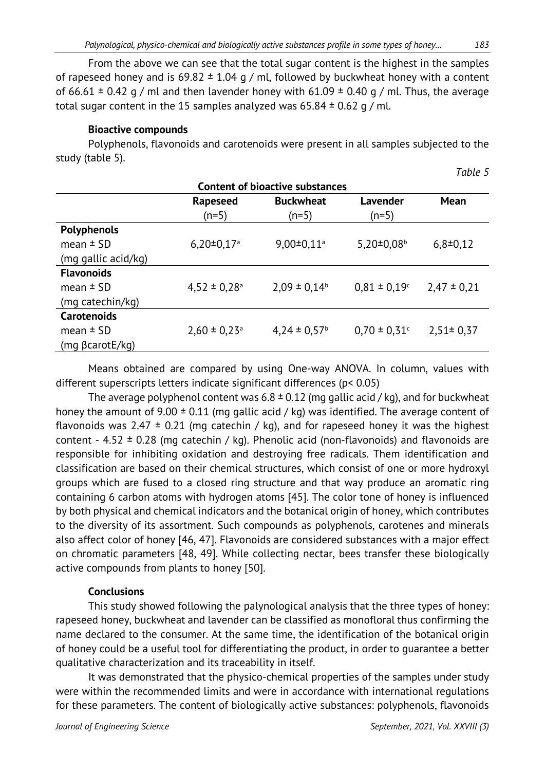From the above we can see that the total sugar content is the highest in the samples of rapeseed honey and is 69.82  $\pm$  1.04 g / ml, followed by buckwheat honey with a content of 66.61  $\pm$  0.42 g / ml and then lavender honey with 61.09  $\pm$  0.40 g / ml. Thus, the average total sugar content in the 15 samples analyzed was  $65.84 \pm 0.62$  g / ml.

# **Bioactive compounds**

Polyphenols, flavonoids and carotenoids were present in all samples subjected to the study (table 5).

| <b>Content of bioactive substances</b> |                              |                              |                              |                 |  |
|----------------------------------------|------------------------------|------------------------------|------------------------------|-----------------|--|
|                                        | Rapeseed                     | <b>Buckwheat</b>             | Lavender                     | Mean            |  |
|                                        | $(n=5)$                      | $(n=5)$                      | $(n=5)$                      |                 |  |
| Polyphenols                            |                              |                              |                              |                 |  |
| mean $\pm$ SD                          | $6,20\pm0,17$ <sup>a</sup>   | $9,00\pm0,11$ <sup>a</sup>   | $5,20\pm0,08$ <sup>b</sup>   | $6,8+0,12$      |  |
| (mg gallic acid/kg)                    |                              |                              |                              |                 |  |
| <b>Flavonoids</b>                      |                              |                              |                              |                 |  |
| mean $\pm$ SD                          | $4,52 \pm 0,28$ <sup>a</sup> | $2,09 \pm 0,14^b$            | $0,81 \pm 0,19$ <sup>c</sup> | $2,47 \pm 0,21$ |  |
| (mg catechin/kg)                       |                              |                              |                              |                 |  |
| <b>Carotenoids</b>                     |                              |                              |                              |                 |  |
| mean $\pm$ SD                          | $2,60 \pm 0,23$ <sup>a</sup> | $4,24 \pm 0,57$ <sup>b</sup> | $0,70 \pm 0,31$ <sup>c</sup> | $2,51 \pm 0,37$ |  |
| (mg βcarotE/kg)                        |                              |                              |                              |                 |  |

Means obtained are compared by using One-way ANOVA. In column, values with different superscripts letters indicate significant differences (p< 0.05)

The average polyphenol content was  $6.8 \pm 0.12$  (mg gallic acid / kg), and for buckwheat honey the amount of 9.00  $\pm$  0.11 (mg gallic acid / kg) was identified. The average content of flavonoids was 2.47  $\pm$  0.21 (mg catechin / kg), and for rapeseed honey it was the highest content - 4.52  $\pm$  0.28 (mg catechin / kg). Phenolic acid (non-flavonoids) and flavonoids are responsible for inhibiting oxidation and destroying free radicals. Them identification and classification are based on their chemical structures, which consist of one or more hydroxyl groups which are fused to a closed ring structure and that way produce an aromatic ring containing 6 carbon atoms with hydrogen atoms [45]. The color tone of honey is influenced by both physical and chemical indicators and the botanical origin of honey, which contributes to the diversity of its assortment. Such compounds as polyphenols, carotenes and minerals also affect color of honey [46, 47]. Flavonoids are considered substances with a major effect on chromatic parameters [48, 49]. While collecting nectar, bees transfer these biologically active compounds from plants to honey [50].

# **Conclusions**

This study showed following the palynological analysis that the three types of honey: rapeseed honey, buckwheat and lavender can be classified as monofloral thus confirming the name declared to the consumer. At the same time, the identification of the botanical origin of honey could be a useful tool for differentiating the product, in order to guarantee a better qualitative characterization and its traceability in itself.

It was demonstrated that the physico-chemical properties of the samples under study were within the recommended limits and were in accordance with international regulations for these parameters. The content of biologically active substances: polyphenols, flavonoids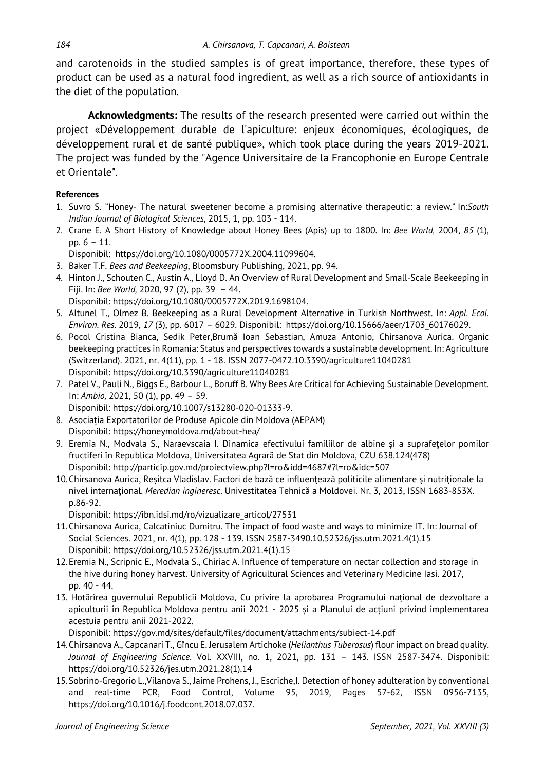and carotenoids in the studied samples is of great importance, therefore, these types of product can be used as a natural food ingredient, as well as a rich source of antioxidants in the diet of the population.

**Acknowledgments:** The results of the research presented were carried out within the project «Développement durable de l'apiculture: enjeux économiques, écologiques, de développement rural et de santé publique», which took place during the years 2019-2021. The project was funded by the "Agence Universitaire de la Francophonie en Europe Centrale et Orientale".

#### **References**

- 1. Suvro S. "Honey- The natural sweetener become a promising alternative therapeutic: a review." In:*South Indian Journal of Biological Sciences,* 2015, 1, pp. 103 - 114.
- 2. Crane E. A Short History of Knowledge about Honey Bees (Apis) up to 1800. In: *Bee World,* 2004, *85* (1), pp. 6 – 11.
	- Disponibil: [https://doi.org/10.1080/0005772X.2004.11099604.](https://doi.org/10.1080/0005772X.2004.11099604)
- 3. Baker T.F. *Bees and Beekeeping*, Bloomsbury Publishing, 2021, pp. 94.
- 4. Hinton J., Schouten C., Austin A., Lloyd D. An Overview of Rural Development and Small-Scale Beekeeping in Fiji. In: *Bee World,* 2020, 97 (2), pp. 39 – 44.

Disponibil: [https://doi.org/10.1080/0005772X.2019.1698104.](https://doi.org/10.1080/0005772X.2019.1698104)

- 5. Altunel T., Olmez B. Beekeeping as a Rural Development Alternative in Turkish Northwest. In: *Appl. Ecol. Environ. Res.* 2019, *17* (3), pp. 6017 – 6029. Disponibil: [https://doi.org/10.15666/aeer/1703\\_60176029.](https://doi.org/10.15666/aeer/1703_60176029)
- 6. Pocol Cristina Bianca, Sedik Peter,Brumă Ioan Sebastian, Amuza Antonio, Chirsanova Aurica. Organic beekeeping practices in Romania: Status and perspectives towards a sustainable development. In: Agriculture (Switzerland). 2021, nr. 4(11), pp. 1 - 18. ISSN 2077-0472.10.3390/agriculture11040281 Disponibil:<https://doi.org/10.3390/agriculture11040281>
- 7. Patel V., Pauli N., Biggs E., Barbour L., Boruff B. Why Bees Are Critical for Achieving Sustainable Development. In: *Ambio,* 2021, 50 (1), pp. 49 – 59.
	- Disponibil: [https://doi.org/10.1007/s13280-020-01333-9.](https://doi.org/10.1007/s13280-020-01333-9)
- 8. Asociația Exportatorilor de Produse Apicole din Moldova (AEPAM) Disponibil:<https://honeymoldova.md/about-hea/>
- 9. Eremia N., Modvala S., Naraevscaia I. Dinamica efectivului familiilor de albine şi a suprafeţelor pomilor fructiferi în Republica Moldova, Universitatea Agrară de Stat din Moldova, CZU 638.124(478) Disponibil: <http://particip.gov.md/proiectview.php?l=ro&idd=4687#?l=ro&idc=507>
- 10. Chirsanova Aurica, Reșitca Vladislav. Factori de bază ce influențează politicile alimentare și nutriționale la nivel internaţional. *Meredian ingineresc*. Univestitatea Tehnică a Moldovei. Nr. 3, 2013, ISSN 1683-853X. p.86-92.

Disponibil: [https://ibn.idsi.md/ro/vizualizare\\_articol/27531](https://ibn.idsi.md/ro/vizualizare_articol/27531)

- 11.Chirsanova Aurica, Calcatiniuc Dumitru. The impact of food waste and ways to minimize IT. In: Journal of Social Sciences. 2021, nr. 4(1), pp. 128 - 139. ISSN 2587-3490.10.52326/jss.utm.2021.4(1).15 Disponibil: [https://doi.org/10.52326/jss.utm.2021.4\(1\).15](https://doi.org/10.52326/jss.utm.2021.4(1).15)
- 12.Eremia N., Scripnic E., Modvala S., Chiriac A. Influence of temperature on nectar collection and storage in the hive during honey harvest. University of Agricultural Sciences and Veterinary Medicine Iasi*.* 2017, pp. 40 - 44.
- 13. Hotărîrea guvernului Republicii Moldova, Cu privire la aprobarea Programului național de dezvoltare a apiculturii în Republica Moldova pentru anii 2021 - 2025 și a Planului de acțiuni privind implementarea acestuia pentru anii 2021-2022.

Disponibil:<https://gov.md/sites/default/files/document/attachments/subiect-14.pdf>

- 14.Chirsanova A., Capcanari T., Gîncu E. Jerusalem Artichoke (*Helianthus Tuberosus*) flour impact on bread quality. *Journal of Engineering Science*. Vol. XXVIII, no. 1, 2021, pp. 131 – 143. ISSN 2587-3474. Disponibil: [https://doi.org/10.52326/jes.utm.2021.28\(1\).14](https://doi.org/10.52326/jes.utm.2021.28(1).14)
- 15.Sobrino-Gregorio L.,Vilanova S., Jaime Prohens, J., Escriche,I. Detection of honey adulteration by conventional and real-time PCR, Food Control, Volume 95, 2019, Pages 57-62, ISSN 0956-7135, [https://doi.org/10.1016/j.foodcont.2018.07.037.](https://doi.org/10.1016/j.foodcont.2018.07.037)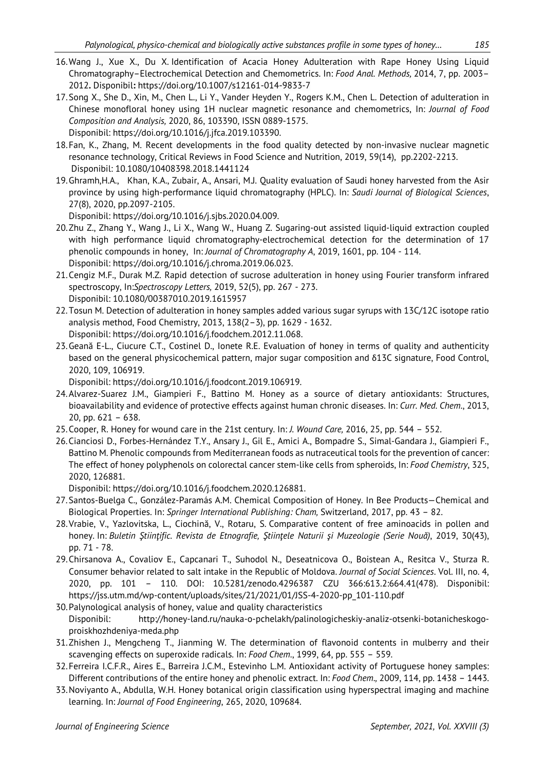- 16.Wang J., Xue X., Du X. Identification of Acacia Honey Adulteration with Rape Honey Using Liquid Chromatography–Electrochemical Detection and Chemometrics. In: *Food Anal. Methods,* 2014, 7, pp. 2003– 2012**.** Disponibil**:** <https://doi.org/10.1007/s12161-014-9833-7>
- 17.Song X., She D., Xin, M., Chen L., Li Y., Vander Heyden Y., Rogers K.M., Chen L. Detection of adulteration in Chinese monofloral honey using 1H nuclear magnetic resonance and chemometrics, In: *Journal of Food Composition and Analysis,* 2020, 86, 103390, ISSN 0889-1575. Disponibil: [https://doi.org/10.1016/j.jfca.2019.103390.](https://doi.org/10.1016/j.jfca.2019.103390)
- 18.Fan, K., Zhang, M. Recent developments in the food quality detected by non-invasive nuclear magnetic resonance technology, Critical Reviews in Food Science and Nutrition, 2019, 59(14), pp.2202-2213. Disponibil: [10.1080/10408398.2018.1441124](https://doi.org/10.1080/10408398.2018.1441124)
- 19.Ghramh,H.A., Khan, K.A., Zubair, A., Ansari, M.J. Quality evaluation of Saudi honey harvested from the Asir province by using high-performance liquid chromatography (HPLC). In: *Saudi Journal of Biological Sciences*, 27(8), 2020, pp.2097-2105.

Disponibil: [https://doi.org/10.1016/j.sjbs.2020.04.009.](https://doi.org/10.1016/j.sjbs.2020.04.009)

- 20.Zhu Z., Zhang Y., Wang J., Li X., Wang W., Huang Z. Sugaring-out assisted liquid-liquid extraction coupled with high performance liquid chromatography-electrochemical detection for the determination of 17 phenolic compounds in honey, In: *Journal of Chromatography A*, 2019, 1601, pp. 104 - 114. Disponibil: [https://doi.org/10.1016/j.chroma.2019.06.023.](https://doi.org/10.1016/j.chroma.2019.06.023)
- 21.Cengiz M.F., Durak M.Z. Rapid detection of sucrose adulteration in honey using Fourier transform infrared spectroscopy, In:*Spectroscopy Letters,* 2019, 52(5), pp. 267 - 273. Disponibil: [10.1080/00387010.2019.1615957](https://doi.org/10.1080/00387010.2019.1615957)
- 22.Tosun M. Detection of adulteration in honey samples added various sugar syrups with 13C/12C isotope ratio analysis method, Food Chemistry, 2013, 138(2–3), pp. 1629 - 1632. Disponibil: [https://doi.org/10.1016/j.foodchem.2012.11.068.](https://doi.org/10.1016/j.foodchem.2012.11.068)
- 23.Geană E-L., Ciucure C.T., Costinel D., Ionete R.E. Evaluation of honey in terms of quality and authenticity based on the general physicochemical pattern, major sugar composition and δ13C signature, Food Control, 2020, 109, 106919.

Disponibil: [https://doi.org/10.1016/j.foodcont.2019.106919.](https://doi.org/10.1016/j.foodcont.2019.106919)

- 24.Alvarez-Suarez J.M., Giampieri F., Battino M. Honey as a source of dietary antioxidants: Structures, bioavailability and evidence of protective effects against human chronic diseases. In: *Curr. Med. Chem*., 2013, 20, pp. 621 – 638.
- 25.Cooper, R. Honey for wound care in the 21st century. In: *J. Wound Care,* 2016, 25, pp. 544 552.
- 26.Cianciosi D., Forbes-Hernández T.Y., Ansary J., Gil E., Amici A., Bompadre S., Simal-Gandara J., Giampieri F., Battino M. Phenolic compounds from Mediterranean foods as nutraceutical tools for the prevention of cancer: The effect of honey polyphenols on colorectal cancer stem-like cells from spheroids, In: *Food Chemistry*, 325, 2020, 126881.

Disponibil: [https://doi.org/10.1016/j.foodchem.2020.126881.](https://doi.org/10.1016/j.foodchem.2020.126881)

- 27.Santos-Buelga C., González-Paramás A.M. Chemical Composition of Honey. In Bee Products—Chemical and Biological Properties. In: *Springer International Publishing: Cham,* Switzerland, 2017, pp. 43 – 82.
- 28.Vrabie, V., Yazlovitska, L., Ciochină, V., Rotaru, S. Comparative content of free aminoacids in pollen and honey. In: *Buletin Ştiinţific. Revista de Etnografie, Ştiinţele Naturii şi Muzeologie (Serie Nouă)*, 2019, 30(43), pp. 71 - 78.
- 29.Chirsanova A., Covaliov E., Capcanari T., Suhodol N., Deseatnicova O., Boistean A., Resitca V., Sturza R. Consumer behavior related to salt intake in the Republic of Moldova. *Journal of Social Sciences*. Vol. III, no. 4, 2020, pp. 101 – 110. DOI: 10.5281/zenodo.4296387 CZU 366:613.2:664.41(478). Disponibil: [https://jss.utm.md/wp-content/uploads/sites/21/2021/01/JSS-4-2020-pp\\_101-110.pdf](https://jss.utm.md/wp-content/uploads/sites/21/2021/01/JSS-4-2020-pp_101-110.pdf)
- 30.Palynological analysis of honey, value and quality characteristics Disponibil: [http://honey-land.ru/nauka-o-pchelakh/palinologicheskiy-analiz-otsenki-botanicheskogo](http://honey-land.ru/nauka-o-pchelakh/palinologicheskiy-analiz-otsenki-botanicheskogo-proiskhozhdeniya-meda.php)[proiskhozhdeniya-meda.php](http://honey-land.ru/nauka-o-pchelakh/palinologicheskiy-analiz-otsenki-botanicheskogo-proiskhozhdeniya-meda.php)
- 31.Zhishen J., Mengcheng T., Jianming W. The determination of flavonoid contents in mulberry and their scavenging effects on superoxide radicals. In: *Food Chem*., 1999, 64, pp. 555 – 559.
- 32.Ferreira I.C.F.R., Aires E., Barreira J.C.M., Estevinho L.M. Antioxidant activity of Portuguese honey samples: Different contributions of the entire honey and phenolic extract. In: *Food Chem.,* 2009, 114, pp. 1438 – 1443.
- 33.Noviyanto A., Abdulla, W.H. Honey botanical origin classification using hyperspectral imaging and machine learning. In: *Journal of Food Engineering*, 265, 2020, 109684.